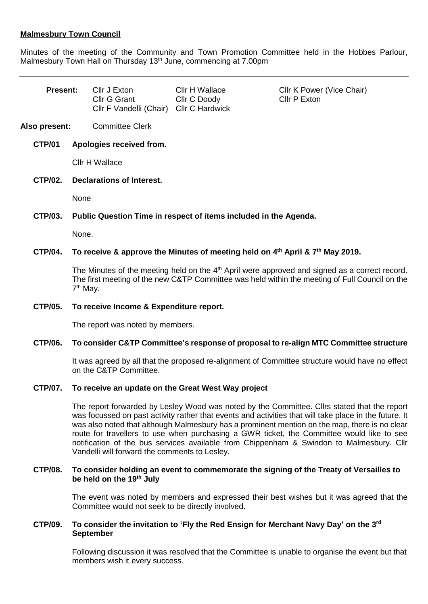### **Malmesbury Town Council**

Minutes of the meeting of the Community and Town Promotion Committee held in the Hobbes Parlour, Malmesbury Town Hall on Thursday 13<sup>th</sup> June, commencing at 7.00pm

| <b>Present:</b> |                                                                                                                                                                                                                    | Cllr J Exton<br>Cllr G Grant<br>Cllr F Vandelli (Chair) Cllr C Hardwick | Cllr H Wallace<br>Cllr C Doody | Cllr K Power (Vice Chair)<br>Cllr P Exton                                                                                                                                                                                                                                                                                                                                                                                                                                                        |
|-----------------|--------------------------------------------------------------------------------------------------------------------------------------------------------------------------------------------------------------------|-------------------------------------------------------------------------|--------------------------------|--------------------------------------------------------------------------------------------------------------------------------------------------------------------------------------------------------------------------------------------------------------------------------------------------------------------------------------------------------------------------------------------------------------------------------------------------------------------------------------------------|
| Also present:   |                                                                                                                                                                                                                    | <b>Committee Clerk</b>                                                  |                                |                                                                                                                                                                                                                                                                                                                                                                                                                                                                                                  |
| <b>CTP/01</b>   |                                                                                                                                                                                                                    | Apologies received from.                                                |                                |                                                                                                                                                                                                                                                                                                                                                                                                                                                                                                  |
|                 | Cllr H Wallace                                                                                                                                                                                                     |                                                                         |                                |                                                                                                                                                                                                                                                                                                                                                                                                                                                                                                  |
| <b>CTP/02.</b>  | <b>Declarations of Interest.</b>                                                                                                                                                                                   |                                                                         |                                |                                                                                                                                                                                                                                                                                                                                                                                                                                                                                                  |
|                 | None                                                                                                                                                                                                               |                                                                         |                                |                                                                                                                                                                                                                                                                                                                                                                                                                                                                                                  |
| <b>CTP/03.</b>  | Public Question Time in respect of items included in the Agenda.                                                                                                                                                   |                                                                         |                                |                                                                                                                                                                                                                                                                                                                                                                                                                                                                                                  |
|                 | None.                                                                                                                                                                                                              |                                                                         |                                |                                                                                                                                                                                                                                                                                                                                                                                                                                                                                                  |
| <b>CTP/04.</b>  | To receive & approve the Minutes of meeting held on 4 <sup>th</sup> April & 7 <sup>th</sup> May 2019.                                                                                                              |                                                                         |                                |                                                                                                                                                                                                                                                                                                                                                                                                                                                                                                  |
|                 | The Minutes of the meeting held on the $4th$ April were approved and signed as a correct record.<br>The first meeting of the new C&TP Committee was held within the meeting of Full Council on the<br>$7th$ May.   |                                                                         |                                |                                                                                                                                                                                                                                                                                                                                                                                                                                                                                                  |
| <b>CTP/05.</b>  | To receive Income & Expenditure report.                                                                                                                                                                            |                                                                         |                                |                                                                                                                                                                                                                                                                                                                                                                                                                                                                                                  |
|                 | The report was noted by members.                                                                                                                                                                                   |                                                                         |                                |                                                                                                                                                                                                                                                                                                                                                                                                                                                                                                  |
| <b>CTP/06.</b>  | To consider C&TP Committee's response of proposal to re-align MTC Committee structure<br>It was agreed by all that the proposed re-alignment of Committee structure would have no effect<br>on the C&TP Committee. |                                                                         |                                |                                                                                                                                                                                                                                                                                                                                                                                                                                                                                                  |
|                 |                                                                                                                                                                                                                    |                                                                         |                                |                                                                                                                                                                                                                                                                                                                                                                                                                                                                                                  |
| <b>CTP/07.</b>  | To receive an update on the Great West Way project                                                                                                                                                                 |                                                                         |                                |                                                                                                                                                                                                                                                                                                                                                                                                                                                                                                  |
|                 |                                                                                                                                                                                                                    | Vandelli will forward the comments to Lesley.                           |                                | The report forwarded by Lesley Wood was noted by the Committee. Clirs stated that the report<br>was focussed on past activity rather that events and activities that will take place in the future. It<br>was also noted that although Malmesbury has a prominent mention on the map, there is no clear<br>route for travellers to use when purchasing a GWR ticket, the Committee would like to see<br>notification of the bus services available from Chippenham & Swindon to Malmesbury. Cllr |

#### **CTP/08. To consider holding an event to commemorate the signing of the Treaty of Versailles to be held on the 19th July**

The event was noted by members and expressed their best wishes but it was agreed that the Committee would not seek to be directly involved.

## **CTP/09. To consider the invitation to 'Fly the Red Ensign for Merchant Navy Day' on the 3rd September**

Following discussion it was resolved that the Committee is unable to organise the event but that members wish it every success.